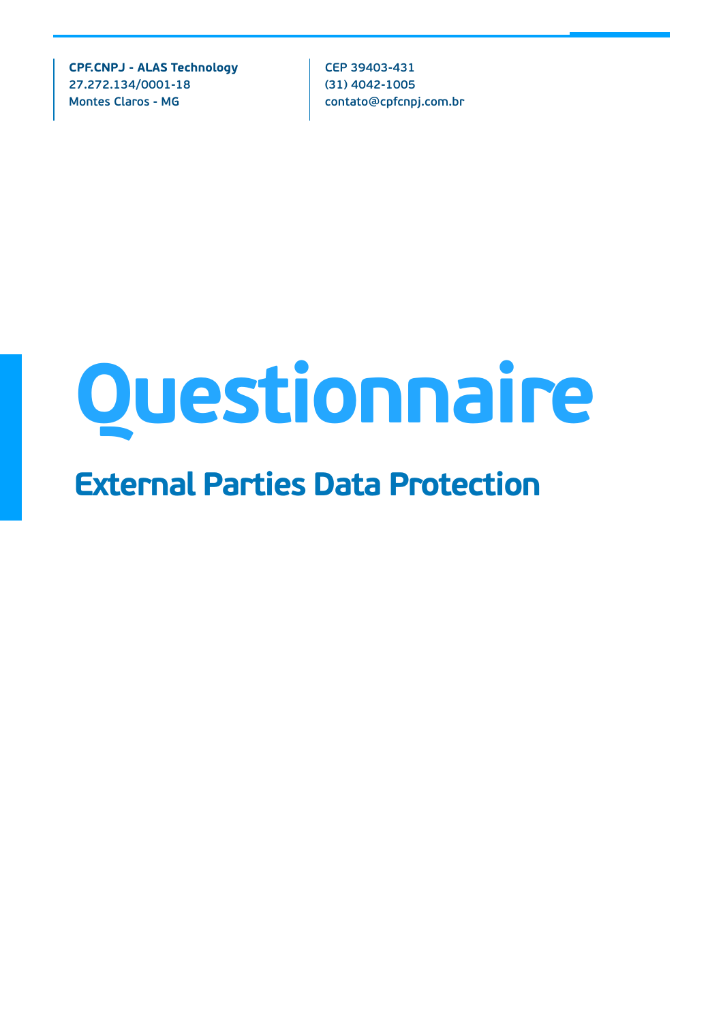**CPF.CNPJ - ALAS Technology 27.272.134/0001-18 Montes Claros - MG**

**CEP 39403-431 (31) 4042-1005 contato@cpfcnpj.com.br** 

## **Questionnaire**

## **External Parties Data Protection**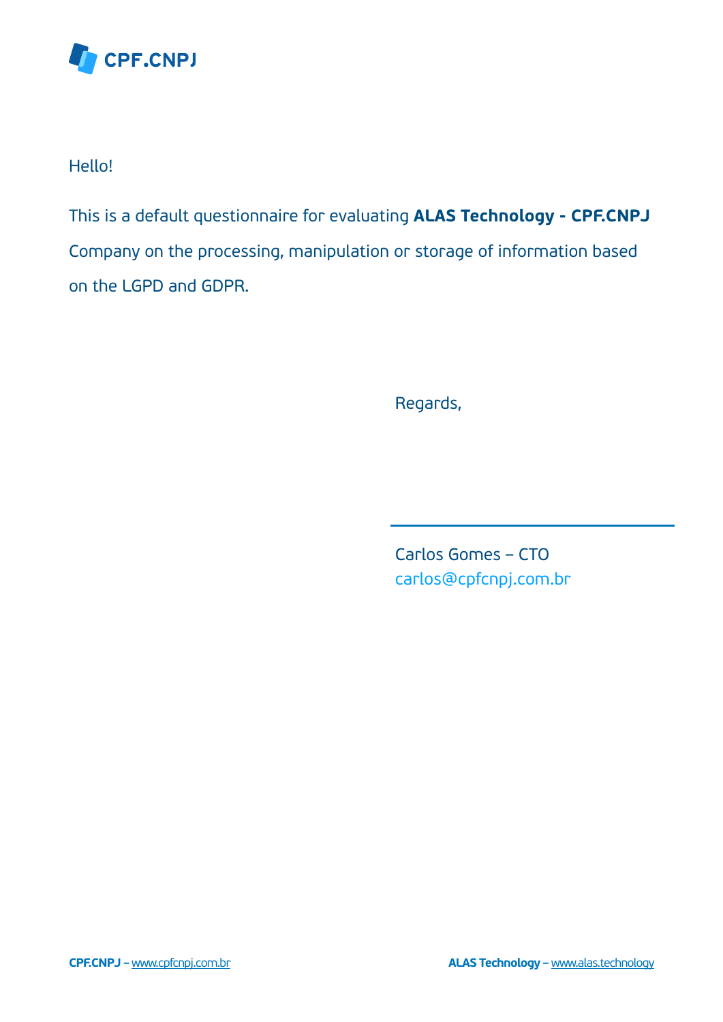

Hello!

This is a default questionnaire for evaluating **ALAS Technology - CPF.CNPJ** Company on the processing, manipulation or storage of information based on the LGPD and GDPR.

Regards,

Carlos Gomes – CTO carlos@cpfcnpj.com.br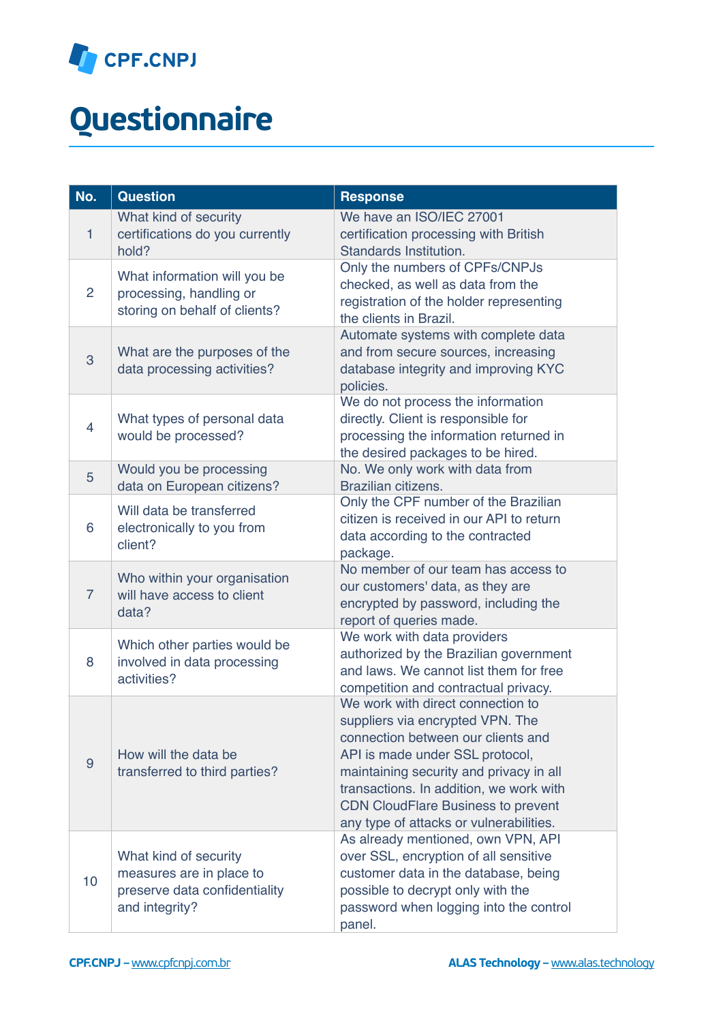

## *Questionnaire*

| No.            | <b>Question</b>                                                                                      | <b>Response</b>                                                                                                                                                                                                                                                                                                              |
|----------------|------------------------------------------------------------------------------------------------------|------------------------------------------------------------------------------------------------------------------------------------------------------------------------------------------------------------------------------------------------------------------------------------------------------------------------------|
| $\mathbf{1}$   | What kind of security<br>certifications do you currently<br>hold?                                    | We have an ISO/IEC 27001<br>certification processing with British<br>Standards Institution.                                                                                                                                                                                                                                  |
| $\overline{2}$ | What information will you be<br>processing, handling or<br>storing on behalf of clients?             | Only the numbers of CPFs/CNPJs<br>checked, as well as data from the<br>registration of the holder representing<br>the clients in Brazil.                                                                                                                                                                                     |
| 3              | What are the purposes of the<br>data processing activities?                                          | Automate systems with complete data<br>and from secure sources, increasing<br>database integrity and improving KYC<br>policies.                                                                                                                                                                                              |
| 4              | What types of personal data<br>would be processed?                                                   | We do not process the information<br>directly. Client is responsible for<br>processing the information returned in<br>the desired packages to be hired.                                                                                                                                                                      |
| 5              | Would you be processing<br>data on European citizens?                                                | No. We only work with data from<br>Brazilian citizens.                                                                                                                                                                                                                                                                       |
| 6              | Will data be transferred<br>electronically to you from<br>client?                                    | Only the CPF number of the Brazilian<br>citizen is received in our API to return<br>data according to the contracted<br>package.                                                                                                                                                                                             |
| $\overline{7}$ | Who within your organisation<br>will have access to client<br>data?                                  | No member of our team has access to<br>our customers' data, as they are<br>encrypted by password, including the<br>report of queries made.                                                                                                                                                                                   |
| 8              | Which other parties would be<br>involved in data processing<br>activities?                           | We work with data providers<br>authorized by the Brazilian government<br>and laws. We cannot list them for free<br>competition and contractual privacy.                                                                                                                                                                      |
| 9              | How will the data be<br>transferred to third parties?                                                | We work with direct connection to<br>suppliers via encrypted VPN. The<br>connection between our clients and<br>API is made under SSL protocol,<br>maintaining security and privacy in all<br>transactions. In addition, we work with<br><b>CDN CloudFlare Business to prevent</b><br>any type of attacks or vulnerabilities. |
| 10             | What kind of security<br>measures are in place to<br>preserve data confidentiality<br>and integrity? | As already mentioned, own VPN, API<br>over SSL, encryption of all sensitive<br>customer data in the database, being<br>possible to decrypt only with the<br>password when logging into the control<br>panel.                                                                                                                 |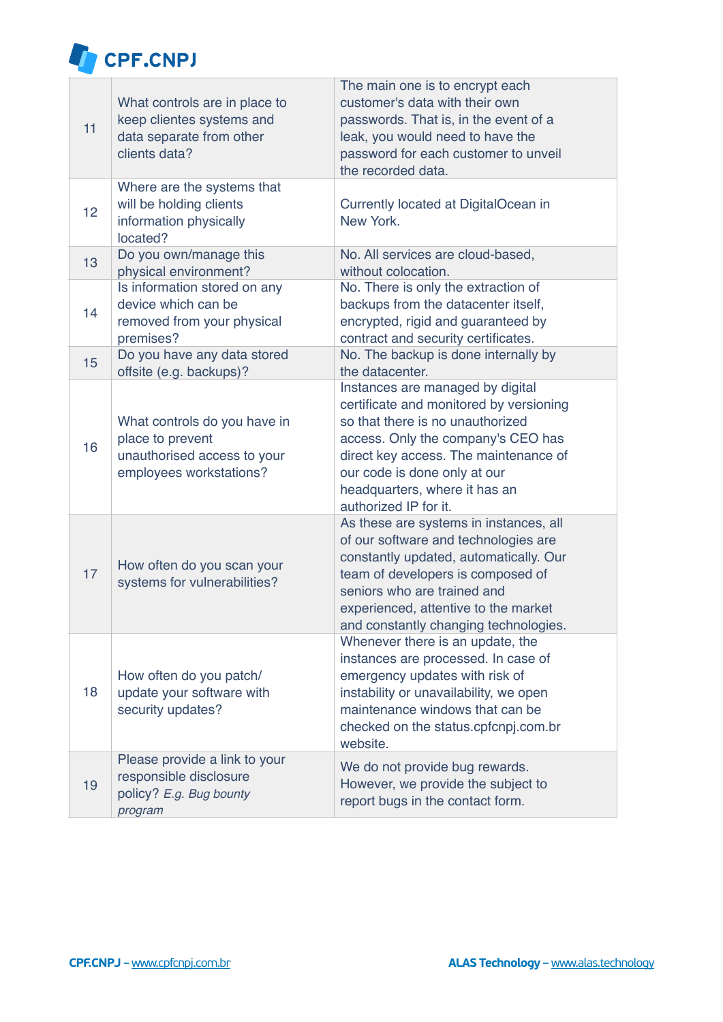

| 11 | What controls are in place to<br>keep clientes systems and<br>data separate from other<br>clients data?    | The main one is to encrypt each<br>customer's data with their own<br>passwords. That is, in the event of a<br>leak, you would need to have the<br>password for each customer to unveil<br>the recorded data.                                                                             |
|----|------------------------------------------------------------------------------------------------------------|------------------------------------------------------------------------------------------------------------------------------------------------------------------------------------------------------------------------------------------------------------------------------------------|
| 12 | Where are the systems that<br>will be holding clients<br>information physically<br>located?                | Currently located at DigitalOcean in<br>New York.                                                                                                                                                                                                                                        |
| 13 | Do you own/manage this<br>physical environment?                                                            | No. All services are cloud-based,<br>without colocation.                                                                                                                                                                                                                                 |
| 14 | Is information stored on any<br>device which can be<br>removed from your physical<br>premises?             | No. There is only the extraction of<br>backups from the datacenter itself,<br>encrypted, rigid and guaranteed by<br>contract and security certificates.                                                                                                                                  |
| 15 | Do you have any data stored<br>offsite (e.g. backups)?                                                     | No. The backup is done internally by<br>the datacenter.                                                                                                                                                                                                                                  |
| 16 | What controls do you have in<br>place to prevent<br>unauthorised access to your<br>employees workstations? | Instances are managed by digital<br>certificate and monitored by versioning<br>so that there is no unauthorized<br>access. Only the company's CEO has<br>direct key access. The maintenance of<br>our code is done only at our<br>headquarters, where it has an<br>authorized IP for it. |
| 17 | How often do you scan your<br>systems for vulnerabilities?                                                 | As these are systems in instances, all<br>of our software and technologies are<br>constantly updated, automatically. Our<br>team of developers is composed of<br>seniors who are trained and<br>experienced, attentive to the market<br>and constantly changing technologies.            |
| 18 | How often do you patch/<br>update your software with<br>security updates?                                  | Whenever there is an update, the<br>instances are processed. In case of<br>emergency updates with risk of<br>instability or unavailability, we open<br>maintenance windows that can be<br>checked on the status.cpfcnpj.com.br<br>website.                                               |
| 19 | Please provide a link to your<br>responsible disclosure<br>policy? E.g. Bug bounty<br>program              | We do not provide bug rewards.<br>However, we provide the subject to<br>report bugs in the contact form.                                                                                                                                                                                 |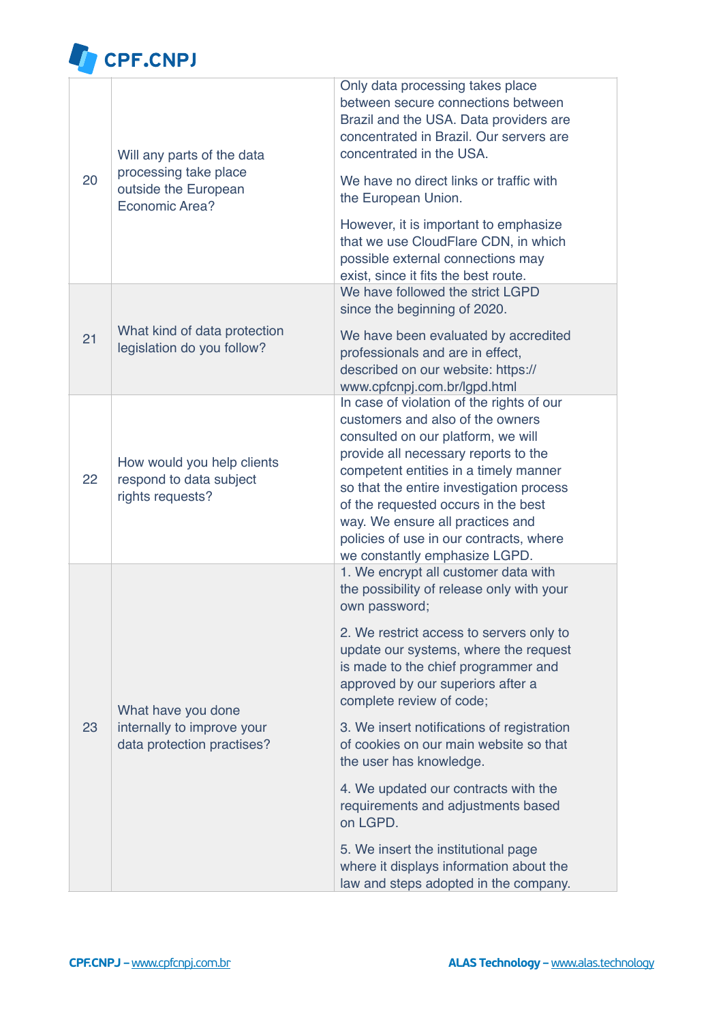

| 20 | Will any parts of the data<br>processing take place<br>outside the European<br>Economic Area? | Only data processing takes place<br>between secure connections between<br>Brazil and the USA. Data providers are<br>concentrated in Brazil. Our servers are<br>concentrated in the USA.<br>We have no direct links or traffic with<br>the European Union.<br>However, it is important to emphasize<br>that we use CloudFlare CDN, in which<br>possible external connections may<br>exist, since it fits the best route.                                                                                                                                                                                                                 |
|----|-----------------------------------------------------------------------------------------------|-----------------------------------------------------------------------------------------------------------------------------------------------------------------------------------------------------------------------------------------------------------------------------------------------------------------------------------------------------------------------------------------------------------------------------------------------------------------------------------------------------------------------------------------------------------------------------------------------------------------------------------------|
| 21 | What kind of data protection<br>legislation do you follow?                                    | We have followed the strict LGPD<br>since the beginning of 2020.<br>We have been evaluated by accredited<br>professionals and are in effect,<br>described on our website: https://<br>www.cpfcnpj.com.br/lgpd.html                                                                                                                                                                                                                                                                                                                                                                                                                      |
| 22 | How would you help clients<br>respond to data subject<br>rights requests?                     | In case of violation of the rights of our<br>customers and also of the owners<br>consulted on our platform, we will<br>provide all necessary reports to the<br>competent entities in a timely manner<br>so that the entire investigation process<br>of the requested occurs in the best<br>way. We ensure all practices and<br>policies of use in our contracts, where<br>we constantly emphasize LGPD.                                                                                                                                                                                                                                 |
| 23 | What have you done<br>internally to improve your<br>data protection practises?                | 1. We encrypt all customer data with<br>the possibility of release only with your<br>own password;<br>2. We restrict access to servers only to<br>update our systems, where the request<br>is made to the chief programmer and<br>approved by our superiors after a<br>complete review of code;<br>3. We insert notifications of registration<br>of cookies on our main website so that<br>the user has knowledge.<br>4. We updated our contracts with the<br>requirements and adjustments based<br>on LGPD.<br>5. We insert the institutional page<br>where it displays information about the<br>law and steps adopted in the company. |